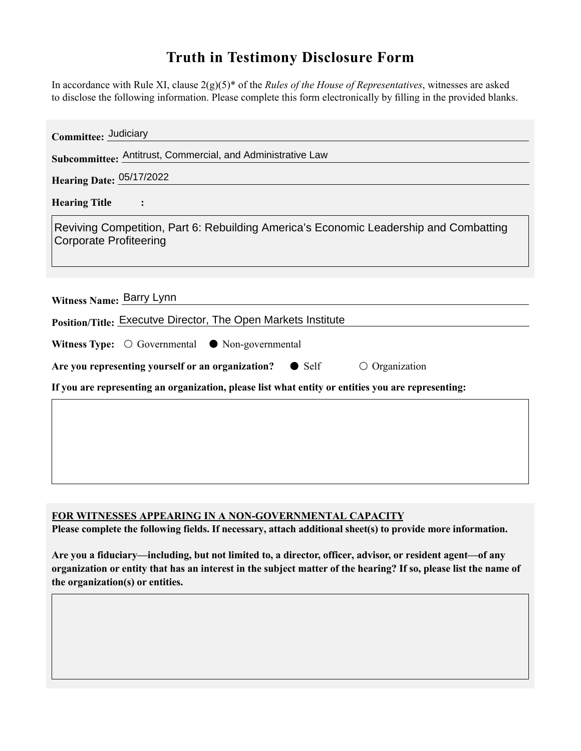## **Truth in Testimony Disclosure Form**

In accordance with Rule XI, clause 2(g)(5)\* of the *Rules of the House of Representatives*, witnesses are asked to disclose the following information. Please complete this form electronically by filling in the provided blanks.

| Committee: Judiciary                                                                                                   |
|------------------------------------------------------------------------------------------------------------------------|
| Subcommittee: Antitrust, Commercial, and Administrative Law                                                            |
| <b>Hearing Date: 05/17/2022</b>                                                                                        |
| <b>Hearing Title</b><br>$\ddot{\cdot}$                                                                                 |
| Reviving Competition, Part 6: Rebuilding America's Economic Leadership and Combatting<br><b>Corporate Profiteering</b> |
| Witness Name: Barry Lynn                                                                                               |
| Position/Title: Executve Director, The Open Markets Institute                                                          |
| Witness Type: $\bigcirc$ Governmental $\bullet$ Non-governmental                                                       |
| Are you representing yourself or an organization? • Self<br>$\bigcirc$ Organization                                    |
| If you are representing an organization, please list what entity or entities you are representing:                     |
|                                                                                                                        |
|                                                                                                                        |
|                                                                                                                        |
|                                                                                                                        |

## **FOR WITNESSES APPEARING IN A NON-GOVERNMENTAL CAPACITY**

**Please complete the following fields. If necessary, attach additional sheet(s) to provide more information.**

**Are you a fiduciary—including, but not limited to, a director, officer, advisor, or resident agent—of any organization or entity that has an interest in the subject matter of the hearing? If so, please list the name of the organization(s) or entities.**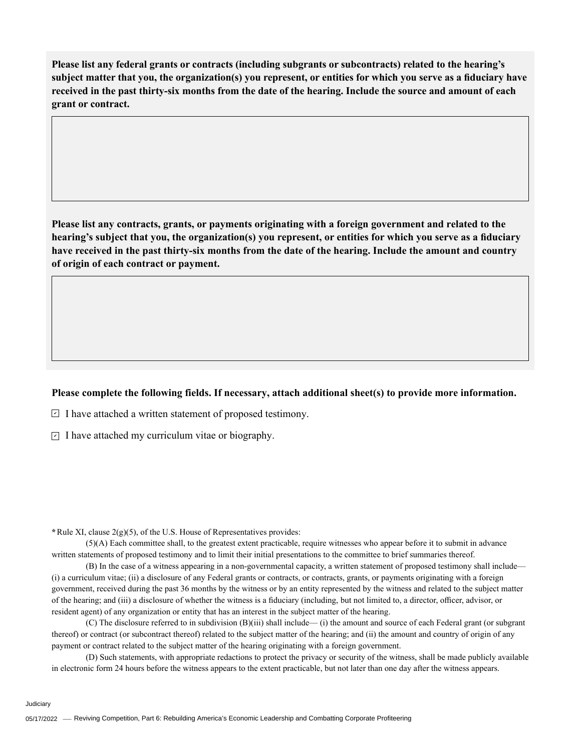**Please list any federal grants or contracts (including subgrants or subcontracts) related to the hearing's subject matter that you, the organization(s) you represent, or entities for which you serve as a fiduciary have received in the past thirty-six months from the date of the hearing. Include the source and amount of each grant or contract.** 

**Please list any contracts, grants, or payments originating with a foreign government and related to the hearing's subject that you, the organization(s) you represent, or entities for which you serve as a fiduciary have received in the past thirty-six months from the date of the hearing. Include the amount and country of origin of each contract or payment.** 

## **Please complete the following fields. If necessary, attach additional sheet(s) to provide more information.**

 $\exists$  I have attached a written statement of proposed testimony.

 $\subseteq$  I have attached my curriculum vitae or biography.

**\***Rule XI, clause 2(g)(5), of the U.S. House of Representatives provides:

(5)(A) Each committee shall, to the greatest extent practicable, require witnesses who appear before it to submit in advance written statements of proposed testimony and to limit their initial presentations to the committee to brief summaries thereof.

(B) In the case of a witness appearing in a non-governmental capacity, a written statement of proposed testimony shall include— (i) a curriculum vitae; (ii) a disclosure of any Federal grants or contracts, or contracts, grants, or payments originating with a foreign government, received during the past 36 months by the witness or by an entity represented by the witness and related to the subject matter of the hearing; and (iii) a disclosure of whether the witness is a fiduciary (including, but not limited to, a director, officer, advisor, or resident agent) of any organization or entity that has an interest in the subject matter of the hearing.

(C) The disclosure referred to in subdivision (B)(iii) shall include— (i) the amount and source of each Federal grant (or subgrant thereof) or contract (or subcontract thereof) related to the subject matter of the hearing; and (ii) the amount and country of origin of any payment or contract related to the subject matter of the hearing originating with a foreign government.

(D) Such statements, with appropriate redactions to protect the privacy or security of the witness, shall be made publicly available in electronic form 24 hours before the witness appears to the extent practicable, but not later than one day after the witness appears.